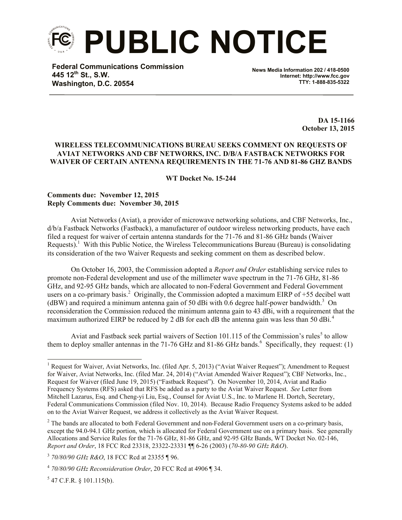

**Federal Communications Commission 445 12th St., S.W. Washington, D.C. 20554**

**News Media Information 202 / 418-0500 Internet: http://www.fcc.gov TTY: 1-888-835-5322**

> **DA 15-1166 October 13, 2015**

## **WIRELESS TELECOMMUNICATIONS BUREAU SEEKS COMMENT ON REQUESTS OF AVIAT NETWORKS AND CBF NETWORKS, INC. D/B/A FASTBACK NETWORKS FOR WAIVER OF CERTAIN ANTENNA REQUIREMENTS IN THE 71-76 AND 81-86 GHZ BANDS**

**WT Docket No. 15-244**

#### **Comments due: November 12, 2015 Reply Comments due: November 30, 2015**

Aviat Networks (Aviat), a provider of microwave networking solutions, and CBF Networks, Inc., d/b/a Fastback Networks (Fastback), a manufacturer of outdoor wireless networking products, have each filed a request for waiver of certain antenna standards for the 71-76 and 81-86 GHz bands (Waiver Requests).<sup>1</sup> With this Public Notice, the Wireless Telecommunications Bureau (Bureau) is consolidating its consideration of the two Waiver Requests and seeking comment on them as described below.

On October 16, 2003, the Commission adopted a *Report and Order* establishing service rules to promote non-Federal development and use of the millimeter wave spectrum in the 71-76 GHz, 81-86 GHz, and 92-95 GHz bands, which are allocated to non-Federal Government and Federal Government users on a co-primary basis.<sup>2</sup> Originally, the Commission adopted a maximum EIRP of  $+55$  decibel watt ( $dBW$ ) and required a minimum antenna gain of 50 dBi with 0.6 degree half-power bandwidth.<sup>3</sup> On reconsideration the Commission reduced the minimum antenna gain to 43 dBi, with a requirement that the maximum authorized EIRP be reduced by 2 dB for each dB the antenna gain was less than 50 dBi.<sup>4</sup>

Aviat and Fastback seek partial waivers of Section 101.115 of the Commission's rules<sup>5</sup> to allow them to deploy smaller antennas in the 71-76 GHz and 81-86 GHz bands. <sup>6</sup> Specifically, they request: (1)

l

<sup>&</sup>lt;sup>1</sup> Request for Waiver, Aviat Networks, Inc. (filed Apr. 5, 2013) ("Aviat Waiver Request"); Amendment to Request for Waiver, Aviat Networks, Inc. (filed Mar. 24, 2014) ("Aviat Amended Waiver Request"); CBF Networks, Inc., Request for Waiver (filed June 19, 2015) ("Fastback Request"). On November 10, 2014, Aviat and Radio Frequency Systems (RFS) asked that RFS be added as a party to the Aviat Waiver Request. *See* Letter from Mitchell Lazarus, Esq. and Cheng-yi Liu, Esq., Counsel for Aviat U.S., Inc. to Marlene H. Dortch, Secretary, Federal Communications Commission (filed Nov. 10, 2014). Because Radio Frequency Systems asked to be added on to the Aviat Waiver Request, we address it collectively as the Aviat Waiver Request.

<sup>&</sup>lt;sup>2</sup> The bands are allocated to both Federal Government and non-Federal Government users on a co-primary basis, except the 94.0-94.1 GHz portion, which is allocated for Federal Government use on a primary basis. See generally Allocations and Service Rules for the 71-76 GHz, 81-86 GHz, and 92-95 GHz Bands, WT Docket No. 02-146, *Report and Order*, 18 FCC Rcd 23318, 23322-23331 ¶¶ 6-26 (2003) (*70-80-90 GHz R&O*).

<sup>3</sup> *70/80/90 GHz R&O*, 18 FCC Rcd at 23355 ¶ 96.

<sup>4</sup> *70/80/90 GHz Reconsideration Order*, 20 FCC Rcd at 4906 ¶ 34.

 $5$  47 C.F.R. § 101.115(b).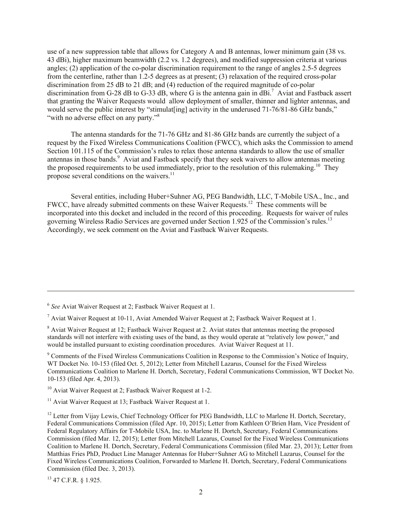use of a new suppression table that allows for Category A and B antennas, lower minimum gain (38 vs. 43 dBi), higher maximum beamwidth (2.2 vs. 1.2 degrees), and modified suppression criteria at various angles; (2) application of the co-polar discrimination requirement to the range of angles 2.5-5 degrees from the centerline, rather than 1.2-5 degrees as at present; (3) relaxation of the required cross-polar discrimination from 25 dB to 21 dB; and (4) reduction of the required magnitude of co-polar discrimination from G-28 dB to G-33 dB, where G is the antenna gain in dBi.<sup>7</sup> Aviat and Fastback assert that granting the Waiver Requests would allow deployment of smaller, thinner and lighter antennas, and would serve the public interest by "stimulat ling activity in the underused 71-76/81-86 GHz bands." "with no adverse effect on any party."<sup>8</sup>

The antenna standards for the 71-76 GHz and 81-86 GHz bands are currently the subject of a request by the Fixed Wireless Communications Coalition (FWCC), which asks the Commission to amend Section 101.115 of the Commission's rules to relax those antenna standards to allow the use of smaller antennas in those bands.<sup>9</sup> Aviat and Fastback specify that they seek waivers to allow antennas meeting the proposed requirements to be used immediately, prior to the resolution of this rulemaking.<sup>10</sup> They propose several conditions on the waivers.<sup>11</sup>

Several entities, including Huber+Suhner AG, PEG Bandwidth, LLC, T-Mobile USA., Inc., and FWCC, have already submitted comments on these Waiver Requests.<sup>12</sup> These comments will be incorporated into this docket and included in the record of this proceeding. Requests for waiver of rules governing Wireless Radio Services are governed under Section 1.925 of the Commission's rules.<sup>13</sup> Accordingly, we seek comment on the Aviat and Fastback Waiver Requests.

l

<sup>6</sup> *See* Aviat Waiver Request at 2; Fastback Waiver Request at 1.

 $<sup>7</sup>$  Aviat Waiver Request at 10-11, Aviat Amended Waiver Request at 2; Fastback Waiver Request at 1.</sup>

<sup>8</sup> Aviat Waiver Request at 12; Fastback Waiver Request at 2. Aviat states that antennas meeting the proposed standards will not interfere with existing uses of the band, as they would operate at "relatively low power," and would be installed pursuant to existing coordination procedures. Aviat Waiver Request at 11.

<sup>9</sup> Comments of the Fixed Wireless Communications Coalition in Response to the Commission's Notice of Inquiry, WT Docket No. 10-153 (filed Oct. 5, 2012); Letter from Mitchell Lazarus, Counsel for the Fixed Wireless Communications Coalition to Marlene H. Dortch, Secretary, Federal Communications Commission, WT Docket No. 10-153 (filed Apr. 4, 2013).

 $10$  Aviat Waiver Request at 2; Fastback Waiver Request at 1-2.

<sup>&</sup>lt;sup>11</sup> Aviat Waiver Request at 13; Fastback Waiver Request at 1.

<sup>&</sup>lt;sup>12</sup> Letter from Vijay Lewis, Chief Technology Officer for PEG Bandwidth, LLC to Marlene H. Dortch, Secretary, Federal Communications Commission (filed Apr. 10, 2015); Letter from Kathleen O'Brien Ham, Vice President of Federal Regulatory Affairs for T-Mobile USA, Inc. to Marlene H. Dortch, Secretary, Federal Communications Commission (filed Mar. 12, 2015); Letter from Mitchell Lazarus, Counsel for the Fixed Wireless Communications Coalition to Marlene H. Dortch, Secretary, Federal Communications Commission (filed Mar. 23, 2013); Letter from Matthias Fries PhD, Product Line Manager Antennas for Huber+Suhner AG to Mitchell Lazarus, Counsel for the Fixed Wireless Communications Coalition, Forwarded to Marlene H. Dortch, Secretary, Federal Communications Commission (filed Dec. 3, 2013).

<sup>13</sup> 47 C.F.R. § 1.925.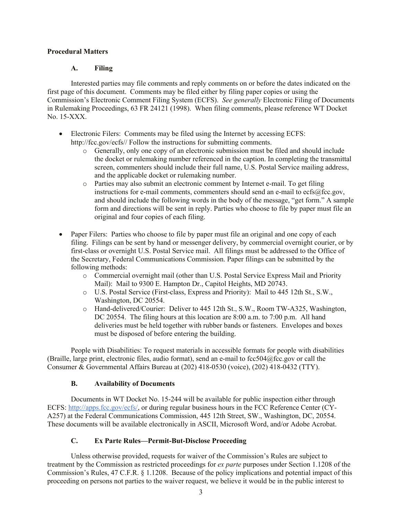### **Procedural Matters**

## **A. Filing**

Interested parties may file comments and reply comments on or before the dates indicated on the first page of this document. Comments may be filed either by filing paper copies or using the Commission's Electronic Comment Filing System (ECFS). *See generally* Electronic Filing of Documents in Rulemaking Proceedings, 63 FR 24121 (1998). When filing comments, please reference WT Docket No. 15-XXX.

- Electronic Filers: Comments may be filed using the Internet by accessing ECFS: http://fcc.gov/ecfs// Follow the instructions for submitting comments.
	- o Generally, only one copy of an electronic submission must be filed and should include the docket or rulemaking number referenced in the caption. In completing the transmittal screen, commenters should include their full name, U.S. Postal Service mailing address, and the applicable docket or rulemaking number.
	- o Parties may also submit an electronic comment by Internet e-mail. To get filing instructions for e-mail comments, commenters should send an e-mail to ecfs@fcc.gov, and should include the following words in the body of the message, "get form." A sample form and directions will be sent in reply. Parties who choose to file by paper must file an original and four copies of each filing.
- Paper Filers: Parties who choose to file by paper must file an original and one copy of each filing. Filings can be sent by hand or messenger delivery, by commercial overnight courier, or by first-class or overnight U.S. Postal Service mail. All filings must be addressed to the Office of the Secretary, Federal Communications Commission. Paper filings can be submitted by the following methods:
	- o Commercial overnight mail (other than U.S. Postal Service Express Mail and Priority Mail): Mail to 9300 E. Hampton Dr., Capitol Heights, MD 20743.
	- o U.S. Postal Service (First-class, Express and Priority): Mail to 445 12th St., S.W., Washington, DC 20554.
	- o Hand-delivered/Courier: Deliver to 445 12th St., S.W., Room TW-A325, Washington, DC 20554. The filing hours at this location are 8:00 a.m. to 7:00 p.m. All hand deliveries must be held together with rubber bands or fasteners. Envelopes and boxes must be disposed of before entering the building.

People with Disabilities: To request materials in accessible formats for people with disabilities (Braille, large print, electronic files, audio format), send an e-mail to fcc504@fcc.gov or call the Consumer & Governmental Affairs Bureau at (202) 418-0530 (voice), (202) 418-0432 (TTY).

#### **B. Availability of Documents**

Documents in WT Docket No. 15-244 will be available for public inspection either through ECFS: http://apps.fcc.gov/ecfs/, or during regular business hours in the FCC Reference Center (CY-A257) at the Federal Communications Commission, 445 12th Street, SW., Washington, DC, 20554. These documents will be available electronically in ASCII, Microsoft Word, and/or Adobe Acrobat.

# **C. Ex Parte Rules—Permit-But-Disclose Proceeding**

Unless otherwise provided, requests for waiver of the Commission's Rules are subject to treatment by the Commission as restricted proceedings for *ex parte* purposes under Section 1.1208 of the Commission's Rules, 47 C.F.R. § 1.1208. Because of the policy implications and potential impact of this proceeding on persons not parties to the waiver request, we believe it would be in the public interest to